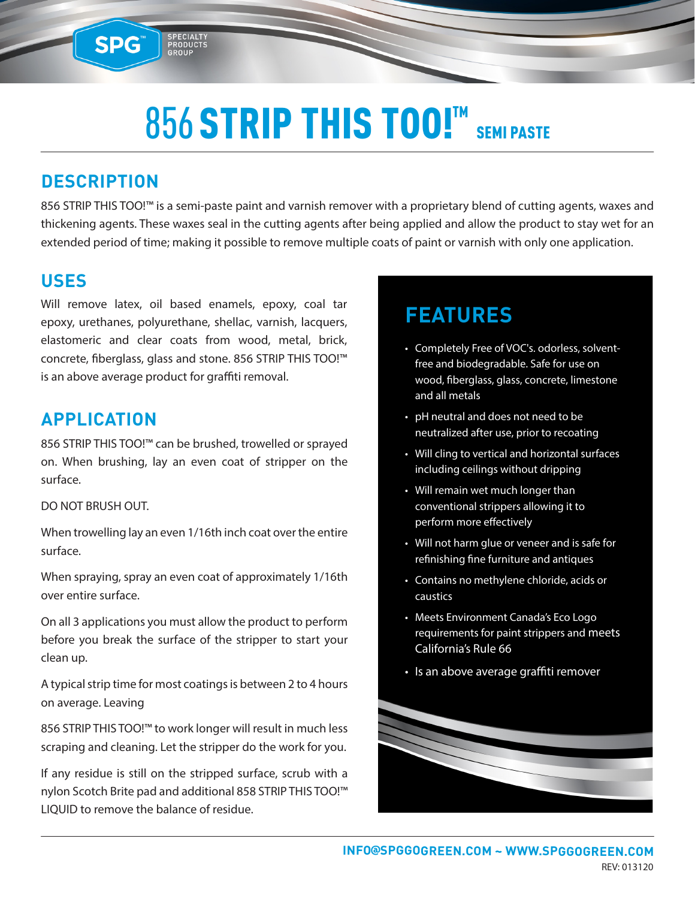## 856 STRIP THIS TOO!™ SEMI PASTE

### **DESCRIPTION**

**SPG™** 

856 STRIP THIS TOO!™ is a semi-paste paint and varnish remover with a proprietary blend of cutting agents, waxes and thickening agents. These waxes seal in the cutting agents after being applied and allow the product to stay wet for an extended period of time; making it possible to remove multiple coats of paint or varnish with only one application.

#### **USES**

Will remove latex, oil based enamels, epoxy, coal tar epoxy, urethanes, polyurethane, shellac, varnish, lacquers, elastomeric and clear coats from wood, metal, brick, concrete, fiberglass, glass and stone. 856 STRIP THIS TOO!™ is an above average product for graffiti removal.

SPECIALTY<br>PRODUCTS<br>GROUP

#### **APPLICATION**

856 STRIP THIS TOO!™ can be brushed, trowelled or sprayed on. When brushing, lay an even coat of stripper on the surface.

#### DO NOT BRUSH OUT.

When trowelling lay an even 1/16th inch coat over the entire surface.

When spraying, spray an even coat of approximately 1/16th over entire surface.

On all 3 applications you must allow the product to perform before you break the surface of the stripper to start your clean up.

A typical strip time for most coatings is between 2 to 4 hours on average. Leaving

856 STRIP THIS TOO!™ to work longer will result in much less scraping and cleaning. Let the stripper do the work for you.

If any residue is still on the stripped surface, scrub with a nylon Scotch Brite pad and additional 858 STRIP THIS TOO!™ LIQUID to remove the balance of residue.

### **FEATURES**

- Completely Free of VOC's. odorless, solventfree and biodegradable. Safe for use on wood, fiberglass, glass, concrete, limestone and all metals
- pH neutral and does not need to be neutralized after use, prior to recoating
- Will cling to vertical and horizontal surfaces including ceilings without dripping
- Will remain wet much longer than conventional strippers allowing it to perform more effectively
- Will not harm glue or veneer and is safe for refinishing fine furniture and antiques
- Contains no methylene chloride, acids or caustics
- Meets Environment Canada's Eco Logo requirements for paint strippers and meets California's Rule 66
- Is an above average graffiti remover